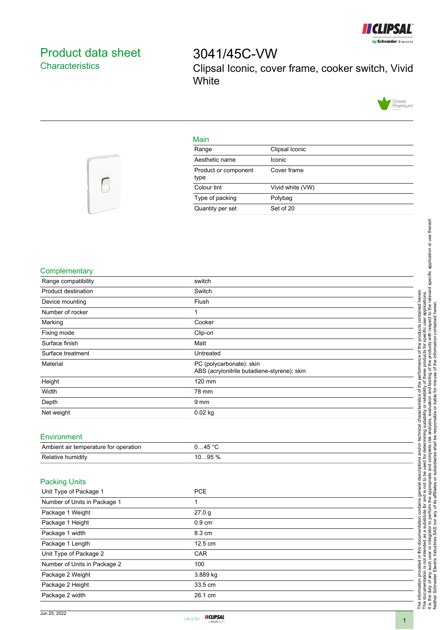

## <span id="page-0-0"></span>Product data sheet **Characteristics**

# 3041/45C-VW Clipsal Iconic, cover frame, cooker switch, Vivid **White**



#### Main

| Range                        | Clipsal Iconic   |
|------------------------------|------------------|
| Aesthetic name               | Iconic           |
| Product or component<br>type | Cover frame      |
| Colour tint                  | Vivid white (VW) |
| Type of packing              | Polybag          |
| Quantity per set             | Set of 20        |



#### **Complementary**

| Relative humidity                     | 1095 %                                                |  |
|---------------------------------------|-------------------------------------------------------|--|
| Ambient air temperature for operation | 045 °C                                                |  |
| Environment                           |                                                       |  |
|                                       |                                                       |  |
| Net weight                            | 0.02 kg                                               |  |
| Depth                                 | 9 <sub>mm</sub>                                       |  |
| Width                                 | 78 mm                                                 |  |
| Height                                | ABS (acrylonitrile butadiene-styrene): skin<br>120 mm |  |
| Material                              | PC (polycarbonate): skin                              |  |
| Surface treatment                     | Untreated                                             |  |
| Surface finish                        | Matt                                                  |  |
| Fixing mode                           | Clip-on                                               |  |
| Marking                               | Cooker                                                |  |
| Number of rocker                      |                                                       |  |
| Device mounting                       | Flush                                                 |  |
| Product destination                   | Switch                                                |  |
| Range compatibility                   | switch                                                |  |

#### Packing Units

| Unit Type of Package 1       | <b>PCE</b>       |
|------------------------------|------------------|
| Number of Units in Package 1 |                  |
| Package 1 Weight             | 27.0 g           |
| Package 1 Height             | $0.9 \text{ cm}$ |
| Package 1 width              | 8.3 cm           |
| Package 1 Length             | 12.5 cm          |
| Unit Type of Package 2       | <b>CAR</b>       |
| Number of Units in Package 2 | 100              |
| Package 2 Weight             | 3.889 kg         |
| Package 2 Height             | 33.5 cm          |
| Package 2 width              | 26.1 cm          |